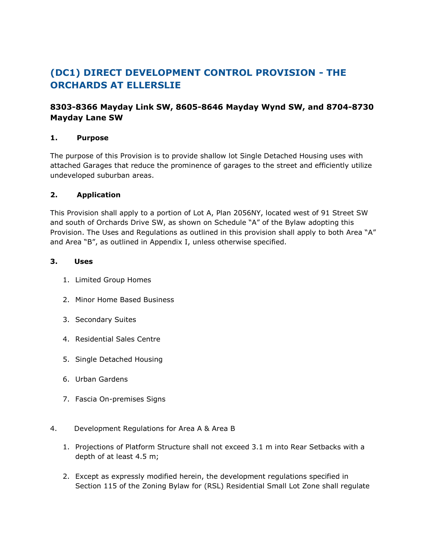# **(DC1) DIRECT DEVELOPMENT CONTROL PROVISION - THE ORCHARDS AT ELLERSLIE**

## **8303-8366 Mayday Link SW, 8605-8646 Mayday Wynd SW, and 8704-8730 Mayday Lane SW**

### **1. Purpose**

The purpose of this Provision is to provide shallow lot Single Detached Housing uses with attached Garages that reduce the prominence of garages to the street and efficiently utilize undeveloped suburban areas.

### **2. Application**

This Provision shall apply to a portion of Lot A, Plan 2056NY, located west of 91 Street SW and south of Orchards Drive SW, as shown on Schedule "A" of the Bylaw adopting this Provision. The Uses and Regulations as outlined in this provision shall apply to both Area "A" and Area "B", as outlined in Appendix I, unless otherwise specified.

#### **3. Uses**

- 1. Limited Group Homes
- 2. Minor Home Based Business
- 3. Secondary Suites
- 4. Residential Sales Centre
- 5. Single Detached Housing
- 6. Urban Gardens
- 7. Fascia On-premises Signs
- 4. Development Regulations for Area A & Area B
	- 1. Projections of Platform Structure shall not exceed 3.1 m into Rear Setbacks with a depth of at least 4.5 m;
	- 2. Except as expressly modified herein, the development regulations specified in Section 115 of the Zoning Bylaw for (RSL) Residential Small Lot Zone shall regulate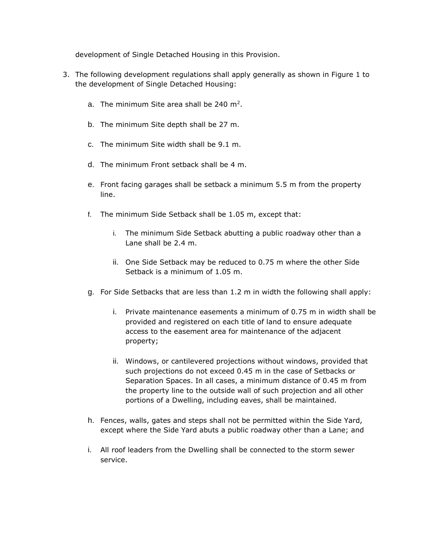development of Single Detached Housing in this Provision.

- 3. The following development regulations shall apply generally as shown in Figure 1 to the development of Single Detached Housing:
	- a. The minimum Site area shall be 240 m<sup>2</sup>.
	- b. The minimum Site depth shall be 27 m.
	- c. The minimum Site width shall be 9.1 m.
	- d. The minimum Front setback shall be 4 m.
	- e. Front facing garages shall be setback a minimum 5.5 m from the property line.
	- f. The minimum Side Setback shall be 1.05 m, except that:
		- i. The minimum Side Setback abutting a public roadway other than a Lane shall be 2.4 m.
		- ii. One Side Setback may be reduced to 0.75 m where the other Side Setback is a minimum of 1.05 m.
	- g. For Side Setbacks that are less than 1.2 m in width the following shall apply:
		- i. Private maintenance easements a minimum of 0.75 m in width shall be provided and registered on each title of land to ensure adequate access to the easement area for maintenance of the adjacent property;
		- ii. Windows, or cantilevered projections without windows, provided that such projections do not exceed 0.45 m in the case of Setbacks or Separation Spaces. In all cases, a minimum distance of 0.45 m from the property line to the outside wall of such projection and all other portions of a Dwelling, including eaves, shall be maintained.
	- h. Fences, walls, gates and steps shall not be permitted within the Side Yard, except where the Side Yard abuts a public roadway other than a Lane; and
	- i. All roof leaders from the Dwelling shall be connected to the storm sewer service.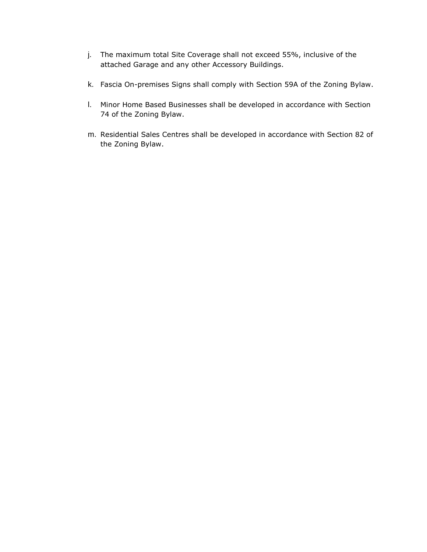- j. The maximum total Site Coverage shall not exceed 55%, inclusive of the attached Garage and any other Accessory Buildings.
- k. Fascia On-premises Signs shall comply with Section 59A of the Zoning Bylaw.
- l. Minor Home Based Businesses shall be developed in accordance with Section 74 of the Zoning Bylaw.
- m. Residential Sales Centres shall be developed in accordance with Section 82 of the Zoning Bylaw.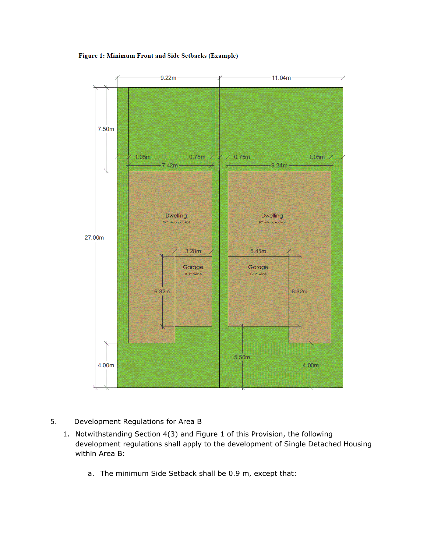Figure 1: Minimum Front and Side Setbacks (Example)



- 5. Development Regulations for Area B
	- 1. Notwithstanding Section 4(3) and Figure 1 of this Provision, the following development regulations shall apply to the development of Single Detached Housing within Area B:
		- a. The minimum Side Setback shall be 0.9 m, except that: